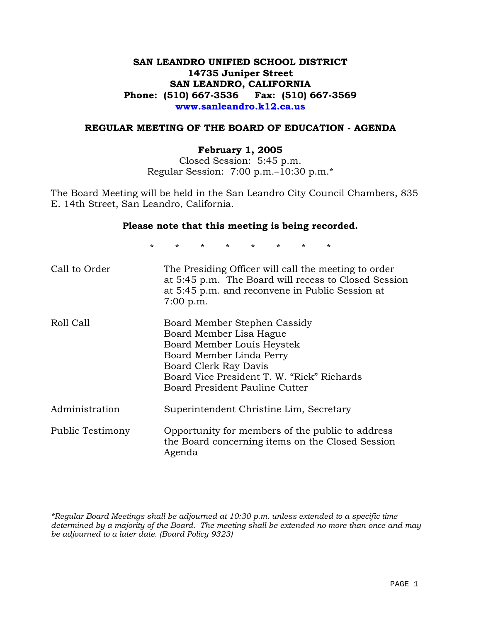# **SAN LEANDRO UNIFIED SCHOOL DISTRICT 14735 Juniper Street SAN LEANDRO, CALIFORNIA Phone: (510) 667-3536 Fax: (510) 667-3569 www.sanleandro.k12.ca.us**

### **REGULAR MEETING OF THE BOARD OF EDUCATION - AGENDA**

#### **February 1, 2005**

Closed Session: 5:45 p.m. Regular Session: 7:00 p.m.–10:30 p.m.\*

The Board Meeting will be held in the San Leandro City Council Chambers, 835 E. 14th Street, San Leandro, California.

#### **Please note that this meeting is being recorded.**

\* \* \* \* \* \* \* \*

| Call to Order    | The Presiding Officer will call the meeting to order<br>at 5:45 p.m. The Board will recess to Closed Session<br>at 5:45 p.m. and reconvene in Public Session at<br>7:00 p.m.                                               |
|------------------|----------------------------------------------------------------------------------------------------------------------------------------------------------------------------------------------------------------------------|
| Roll Call        | Board Member Stephen Cassidy<br>Board Member Lisa Hague<br>Board Member Louis Heystek<br>Board Member Linda Perry<br>Board Clerk Ray Davis<br>Board Vice President T. W. "Rick" Richards<br>Board President Pauline Cutter |
| Administration   | Superintendent Christine Lim, Secretary                                                                                                                                                                                    |
| Public Testimony | Opportunity for members of the public to address<br>the Board concerning items on the Closed Session<br>Agenda                                                                                                             |

*\*Regular Board Meetings shall be adjourned at 10:30 p.m. unless extended to a specific time determined by a majority of the Board. The meeting shall be extended no more than once and may be adjourned to a later date. (Board Policy 9323)*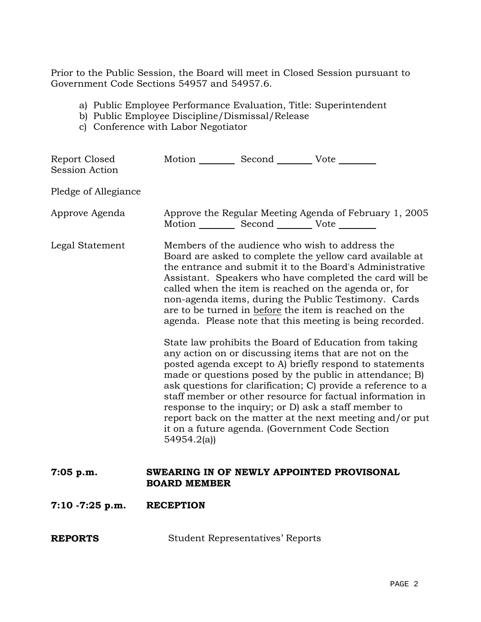Prior to the Public Session, the Board will meet in Closed Session pursuant to Government Code Sections 54957 and 54957.6.

- a) Public Employee Performance Evaluation, Title: Superintendent
- b) Public Employee Discipline/Dismissal/Release
- c) Conference with Labor Negotiator

| Report Closed<br>Session Action | Motion __________ Second __________ Vote ________                                                                                                                                                                                                                                                                                                                                                                                                                                                                                                                                                                                                                                                                                                                                                                                                                                                                                                                                                                                    |
|---------------------------------|--------------------------------------------------------------------------------------------------------------------------------------------------------------------------------------------------------------------------------------------------------------------------------------------------------------------------------------------------------------------------------------------------------------------------------------------------------------------------------------------------------------------------------------------------------------------------------------------------------------------------------------------------------------------------------------------------------------------------------------------------------------------------------------------------------------------------------------------------------------------------------------------------------------------------------------------------------------------------------------------------------------------------------------|
| Pledge of Allegiance            |                                                                                                                                                                                                                                                                                                                                                                                                                                                                                                                                                                                                                                                                                                                                                                                                                                                                                                                                                                                                                                      |
| Approve Agenda                  | Approve the Regular Meeting Agenda of February 1, 2005<br>Motion __________ Second __________ Vote ________                                                                                                                                                                                                                                                                                                                                                                                                                                                                                                                                                                                                                                                                                                                                                                                                                                                                                                                          |
| Legal Statement                 | Members of the audience who wish to address the<br>Board are asked to complete the yellow card available at<br>the entrance and submit it to the Board's Administrative<br>Assistant. Speakers who have completed the card will be<br>called when the item is reached on the agenda or, for<br>non-agenda items, during the Public Testimony. Cards<br>are to be turned in before the item is reached on the<br>agenda. Please note that this meeting is being recorded.<br>State law prohibits the Board of Education from taking<br>any action on or discussing items that are not on the<br>posted agenda except to A) briefly respond to statements<br>made or questions posed by the public in attendance; B)<br>ask questions for clarification; C) provide a reference to a<br>staff member or other resource for factual information in<br>response to the inquiry; or D) ask a staff member to<br>report back on the matter at the next meeting and/or put<br>it on a future agenda. (Government Code Section<br>54954.2(a) |
| $7:05$ p.m.                     | SWEARING IN OF NEWLY APPOINTED PROVISONAL<br><b>BOARD MEMBER</b>                                                                                                                                                                                                                                                                                                                                                                                                                                                                                                                                                                                                                                                                                                                                                                                                                                                                                                                                                                     |
| $7:10 - 7:25$ p.m.              | <b>RECEPTION</b>                                                                                                                                                                                                                                                                                                                                                                                                                                                                                                                                                                                                                                                                                                                                                                                                                                                                                                                                                                                                                     |
| <b>REPORTS</b>                  | <b>Student Representatives' Reports</b>                                                                                                                                                                                                                                                                                                                                                                                                                                                                                                                                                                                                                                                                                                                                                                                                                                                                                                                                                                                              |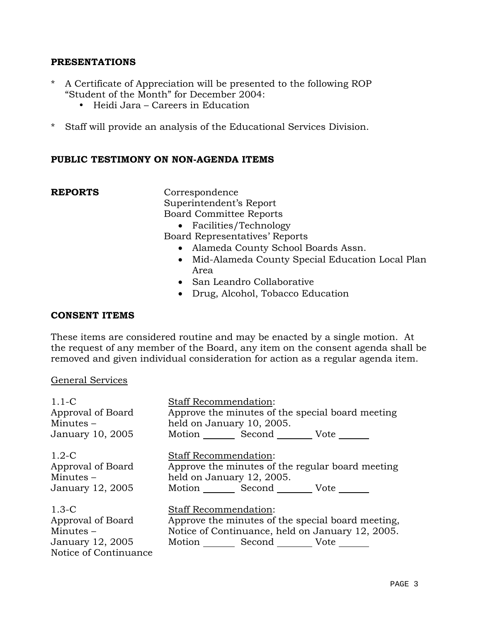# **PRESENTATIONS**

- \* A Certificate of Appreciation will be presented to the following ROP "Student of the Month" for December 2004:
	- $\bullet$  Heidi Jara Careers in Education
- \* Staff will provide an analysis of the Educational Services Division.

# **PUBLIC TESTIMONY ON NON-AGENDA ITEMS**

**REPORTS** Correspondence Superintendent's Report Board Committee Reports

- Facilities/Technology
- Board Representatives' Reports
	- Alameda County School Boards Assn.
	- Mid-Alameda County Special Education Local Plan Area
	- San Leandro Collaborative
	- Drug, Alcohol, Tobacco Education

# **CONSENT ITEMS**

These items are considered routine and may be enacted by a single motion. At the request of any member of the Board, any item on the consent agenda shall be removed and given individual consideration for action as a regular agenda item.

### General Services

| $1.1 - C$             | <b>Staff Recommendation:</b>                      |
|-----------------------|---------------------------------------------------|
| Approval of Board     | Approve the minutes of the special board meeting  |
| Minutes $-$           | held on January 10, 2005.                         |
| January 10, 2005      | Motion Second Vote                                |
| $1.2-C$               | <b>Staff Recommendation:</b>                      |
| Approval of Board     | Approve the minutes of the regular board meeting  |
| Minutes $-$           | held on January 12, 2005.                         |
| January 12, 2005      | Motion Second Vote                                |
| $1.3-C$               | <b>Staff Recommendation:</b>                      |
| Approval of Board     | Approve the minutes of the special board meeting, |
| Minutes $-$           | Notice of Continuance, held on January 12, 2005.  |
| January 12, 2005      | Motion Second Vote                                |
| Notice of Continuance |                                                   |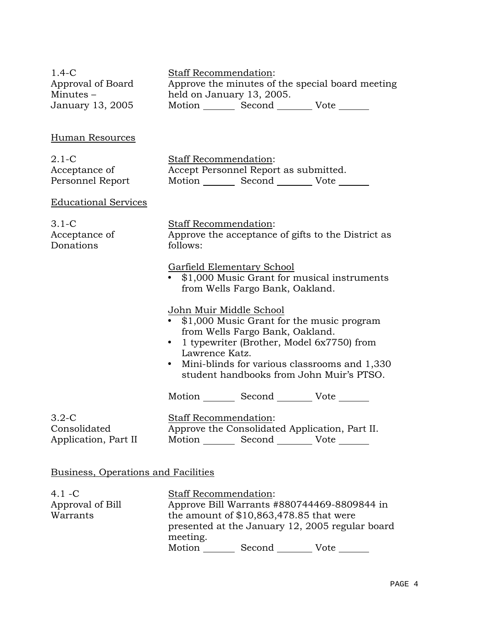| $1.4-C$<br>Approval of Board<br>Minutes $-$<br>January 13, 2005 | Staff Recommendation:<br>Approve the minutes of the special board meeting<br>held on January 13, 2005.<br>Motion Second Vote                                                                                                                                             |
|-----------------------------------------------------------------|--------------------------------------------------------------------------------------------------------------------------------------------------------------------------------------------------------------------------------------------------------------------------|
| Human Resources                                                 |                                                                                                                                                                                                                                                                          |
| $2.1-C$<br>Acceptance of<br>Personnel Report                    | Staff Recommendation:<br>Accept Personnel Report as submitted.<br>Motion _________ Second __________ Vote _______                                                                                                                                                        |
| <b>Educational Services</b>                                     |                                                                                                                                                                                                                                                                          |
| $3.1-C$<br>Acceptance of<br>Donations                           | Staff Recommendation:<br>Approve the acceptance of gifts to the District as<br>follows:                                                                                                                                                                                  |
|                                                                 | Garfield Elementary School<br>• \$1,000 Music Grant for musical instruments<br>from Wells Fargo Bank, Oakland.                                                                                                                                                           |
|                                                                 | John Muir Middle School<br>• \$1,000 Music Grant for the music program<br>from Wells Fargo Bank, Oakland.<br>• 1 typewriter (Brother, Model 6x7750) from<br>Lawrence Katz.<br>• Mini-blinds for various classrooms and 1,330<br>student handbooks from John Muir's PTSO. |
|                                                                 | Motion _________ Second _________ Vote _______                                                                                                                                                                                                                           |
| $3.2-C$<br>Consolidated<br>Application, Part II                 | <b>Staff Recommendation:</b><br>Approve the Consolidated Application, Part II.<br>Motion _________ Second __________ Vote _______                                                                                                                                        |
| Business, Operations and Facilities                             |                                                                                                                                                                                                                                                                          |

| $4.1 - C$        | <b>Staff Recommendation:</b>                    |
|------------------|-------------------------------------------------|
| Approval of Bill | Approve Bill Warrants #880744469-8809844 in     |
| Warrants         | the amount of $$10,863,478.85$ that were        |
|                  | presented at the January 12, 2005 regular board |
|                  | meeting.                                        |
|                  | Motion<br>Second<br>Vote                        |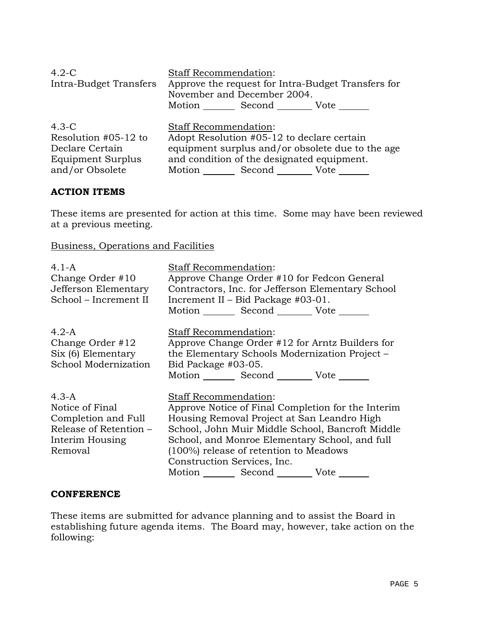| $4.2-C$                | <b>Staff Recommendation:</b>                       |
|------------------------|----------------------------------------------------|
| Intra-Budget Transfers | Approve the request for Intra-Budget Transfers for |
|                        | November and December 2004.                        |
|                        | Motion Second Vote                                 |
| $4.3-C$                | <b>Staff Recommendation:</b>                       |
| Resolution #05-12 to   | Adopt Resolution #05-12 to declare certain         |
| Declare Certain        | equipment surplus and/or obsolete due to the age   |
| Equipment Surplus      | and condition of the designated equipment.         |
| and/or Obsolete        | Motion Second Vote                                 |

# **ACTION ITEMS**

These items are presented for action at this time. Some may have been reviewed at a previous meeting.

Business, Operations and Facilities

| $4.1-A$<br>Change Order #10<br>Jefferson Elementary<br>School - Increment II                              | <b>Staff Recommendation:</b><br>Approve Change Order #10 for Fedcon General<br>Contractors, Inc. for Jefferson Elementary School<br>Increment II - Bid Package #03-01.<br>Motion Second Vote                                                                                                                                           |
|-----------------------------------------------------------------------------------------------------------|----------------------------------------------------------------------------------------------------------------------------------------------------------------------------------------------------------------------------------------------------------------------------------------------------------------------------------------|
| $4.2-A$<br>Change Order $#12$<br>Six (6) Elementary<br>School Modernization                               | <b>Staff Recommendation:</b><br>Approve Change Order #12 for Arntz Builders for<br>the Elementary Schools Modernization Project -<br>Bid Package #03-05.<br>Motion _________ Second __________ Vote _______                                                                                                                            |
| $4.3-A$<br>Notice of Final<br>Completion and Full<br>Release of Retention -<br>Interim Housing<br>Removal | <b>Staff Recommendation:</b><br>Approve Notice of Final Completion for the Interim<br>Housing Removal Project at San Leandro High<br>School, John Muir Middle School, Bancroft Middle<br>School, and Monroe Elementary School, and full<br>(100%) release of retention to Meadows<br>Construction Services, Inc.<br>Motion Second Vote |

### **CONFERENCE**

These items are submitted for advance planning and to assist the Board in establishing future agenda items. The Board may, however, take action on the following: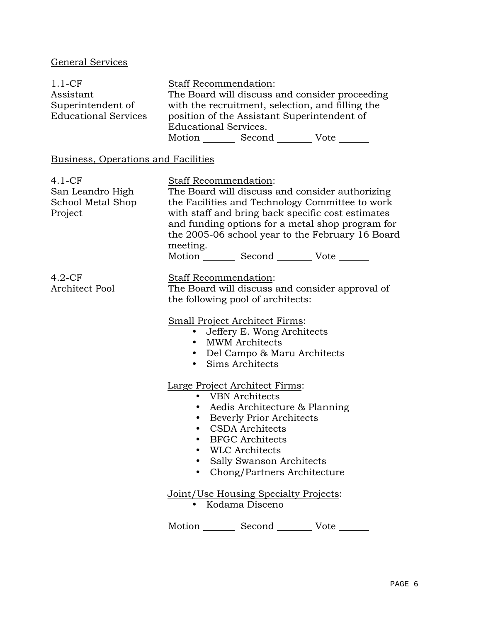# General Services

| $1.1-CF$                                                       | <b>Staff Recommendation:</b>                                                                                                                                                                                                                                                                                                                           |
|----------------------------------------------------------------|--------------------------------------------------------------------------------------------------------------------------------------------------------------------------------------------------------------------------------------------------------------------------------------------------------------------------------------------------------|
| Assistant                                                      | The Board will discuss and consider proceeding                                                                                                                                                                                                                                                                                                         |
| Superintendent of<br><b>Educational Services</b>               | with the recruitment, selection, and filling the<br>position of the Assistant Superintendent of<br><b>Educational Services.</b><br>Motion _________ Second _________ Vote _______                                                                                                                                                                      |
|                                                                |                                                                                                                                                                                                                                                                                                                                                        |
| Business, Operations and Facilities                            |                                                                                                                                                                                                                                                                                                                                                        |
| $4.1 - CF$<br>San Leandro High<br>School Metal Shop<br>Project | Staff Recommendation:<br>The Board will discuss and consider authorizing<br>the Facilities and Technology Committee to work<br>with staff and bring back specific cost estimates<br>and funding options for a metal shop program for<br>the 2005-06 school year to the February 16 Board<br>meeting.<br>Motion _________ Second _________ Vote _______ |
| $4.2-CF$<br><b>Architect Pool</b>                              | Staff Recommendation:<br>The Board will discuss and consider approval of<br>the following pool of architects:<br><b>Small Project Architect Firms:</b><br>Jeffery E. Wong Architects<br><b>MWM</b> Architects<br>• Del Campo & Maru Architects<br>Sims Architects<br>$\bullet$                                                                         |
|                                                                | Large Project Architect Firms:<br>• VBN Architects<br>• Aedis Architecture & Planning<br>• Beverly Prior Architects<br>• CSDA Architects<br><b>BFGC</b> Architects<br><b>WLC</b> Architects<br>Sally Swanson Architects<br>Chong/Partners Architecture                                                                                                 |
|                                                                | Joint/Use Housing Specialty Projects:<br>Kodama Disceno                                                                                                                                                                                                                                                                                                |
|                                                                | Motion<br>Second<br>Vote                                                                                                                                                                                                                                                                                                                               |